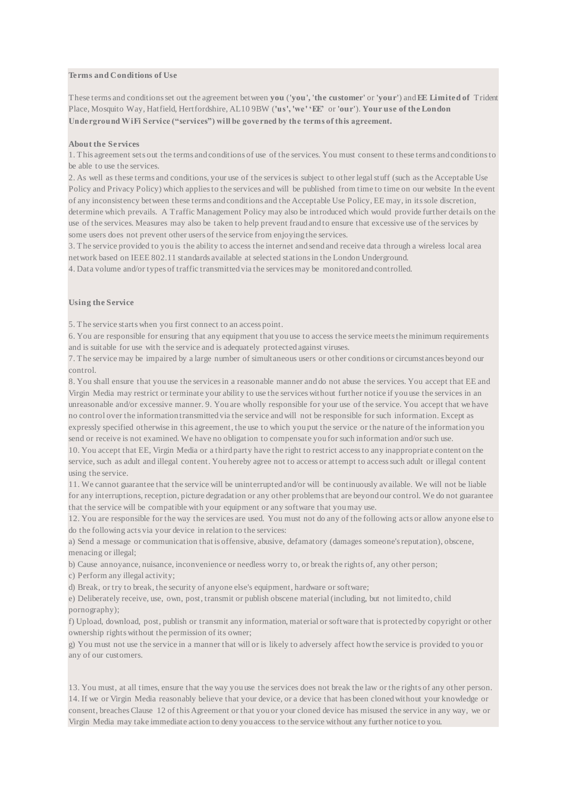# **Terms and Conditions of Use**

These terms and conditions set out the agreement between **you** (**'you', 'the customer'** or **'your'**) and **EE Limited of** Trident Place, Mosquito Way, Hatfield, Hertfordshire, AL10 9BW (**'us', 'we' 'EE'** or **'our'**). **Your use of the London Underground WiFi Service ("services") will be governed by the terms of this agreement.** 

#### **About the Services**

1. This agreement sets out the terms and conditions of use of the services. You must consent to these terms and conditions to be able to use the services.

2. As well as these terms and conditions, your use of the services is subject to other legal stuff (such as the Acceptable Use Policy and Privacy Policy) which applies to the services and will be published from time to time on our website In the event of any inconsistency between these terms and conditions and the Acceptable Use Policy, EE may, in its sole discretion, determine which prevails. A Traffic Management Policy may also be introduced which would provide further details on the use of the services. Measures may also be taken to help prevent fraud and to ensure that excessive use of the services by some users does not prevent other users of the service from enjoying the services.

3. The service provided to you is the ability to access the internet and send and receive data through a wireless local area network based on IEEE 802.11 standards available at selected stations in the London Underground.

4. Data volume and/or types of traffic transmitted via the services may be monitored and controlled.

## **Using the Service**

5. The service starts when you first connect to an access point.

6. You are responsible for ensuring that any equipment that you use to access the service meets the minimum requirements and is suitable for use with the service and is adequately protected against viruses.

7. The service may be impaired by a large number of simultaneous users or other conditions or circumstances beyond our control.

8. You shall ensure that you use the services in a reasonable manner and do not abuse the services. You accept that EE and Virgin Media may restrict or terminate your ability to use the services without further notice if you use the services in an unreasonable and/or excessive manner. 9. You are wholly responsible for your use of the service. You accept that we have no control over the information transmitted via the service and will not be responsible for such information. Except as expressly specified otherwise in this agreement, the use to which you put the service or the nature of the information you send or receive is not examined. We have no obligation to compensate you for such information and/or such use.

10. You accept that EE, Virgin Media or a third party have the right to restrict access to any inappropriate content on the service, such as adult and illegal content. You hereby agree not to access or attempt to access such adult or illegal content using the service.

11. We cannot guarantee that the service will be uninterrupted and/or will be continuously av ailable. We will not be liable for any interruptions, reception, picture degradation or any other problems that are beyond our control. We do not guarantee that the service will be compatible with your equipment or any software that you may use.

12. You are responsible for the way the services are used. You must not do any of the following acts or allow anyone else to do the following acts via your device in relation to the services:

a) Send a message or communication that is offensive, abusive, defamatory (damages someone's reputation), obscene, menacing or illegal;

b) Cause annoyance, nuisance, inconvenience or needless worry to, or break the rights of, any other person;

c) Perform any illegal activity;

d) Break, or try to break, the security of anyone else's equipment, hardware or software;

e) Deliberately receive, use, own, post, transmit or publish obscene material (including, but not limited to, child pornography);

f) Upload, download, post, publish or transmit any information, material or software that is protected by copyright or other ownership rights without the permission of its owner;

g) You must not use the service in a manner that will or is likely to adversely affect how the service is provided to you or any of our customers.

13. You must, at all times, ensure that the way you use the services does not break the law or the rights of any other person. 14. If we or Virgin Media reasonably believe that your device, or a device that has been cloned without your knowledge or consent, breaches Clause 12 of this Agreement or that you or your cloned device has misused the service in any way, we or Virgin Media may take immediate action to deny you access to the service without any further notice to you.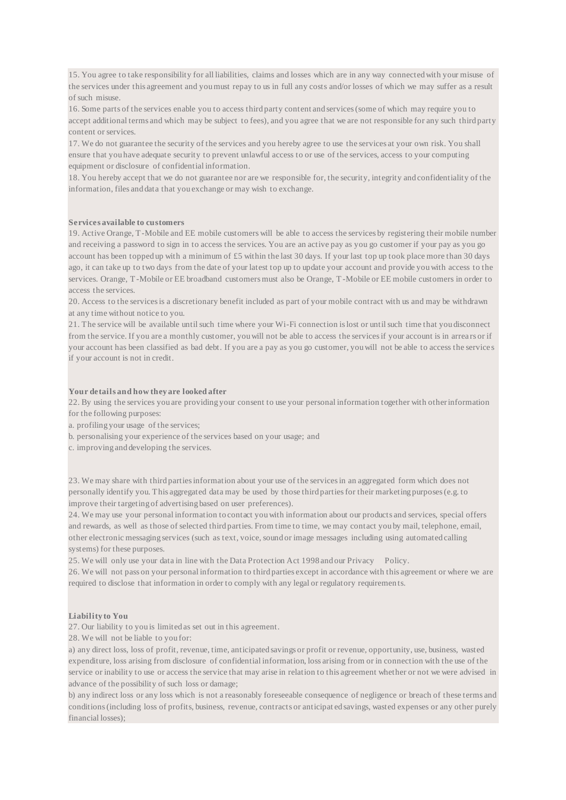15. You agree to take responsibility for all liabilities, claims and losses which are in any way connected with your misuse of the services under this agreement and you must repay to us in full any costs and/or losses of which we may suffer as a result of such misuse.

16. Some parts of the services enable you to access third party content and services (some of which may require you to accept additional terms and which may be subject to fees), and you agree that we are not responsible for any such third party content or services.

17. We do not guarantee the security of the services and you hereby agree to use the services at your own risk. You shall ensure that you have adequate security to prevent unlawful access to or use of the services, access to your computing equipment or disclosure of confidential information.

18. You hereby accept that we do not guarantee nor are we responsible for, the security, integrity and confidentiality of the information, files and data that you exchange or may wish to exchange.

## **Services available to customers**

19. Active Orange, T-Mobile and EE mobile customers will be able to access the services by registering their mobile number and receiving a password to sign in to access the services. You are an active pay as you go customer if your pay as you go account has been topped up with a minimum of  $\pounds 5$  within the last 30 days. If your last top up took place more than 30 days ago, it can take up to two days from the date of your latest top up to update your account and provide you with access to the services. Orange, T-Mobile or EE broadband customers must also be Orange, T -Mobile or EE mobile customers in order to access the services.

20. Access to the services is a discretionary benefit included as part of your mobile contract with us and may be withdrawn at any time without notice to you.

21. The service will be available until such time where your Wi-Fi connection is lost or until such time that you disconnect from the service. If you are a monthly customer, you will not be able to access the services if your account is in arrea rs or if your account has been classified as bad debt. If you are a pay as you go customer, you will not be able to access the service s if your account is not in credit.

## **Your details and how they are looked after**

22. By using the services you are providing your consent to use your personal information together with other information for the following purposes:

- a. profiling your usage of the services;
- b. personalising your experience of the services based on your usage; and
- c. improving and developing the services.

23. We may share with third parties information about your use of the services in an aggregated form which does not personally identify you. This aggregated data may be used by those third parties for their marketing purposes (e.g. to improve their targeting of advertising based on user preferences).

24. We may use your personal information to contact you with information about our products and services, special offers and rewards, as well as those of selected third parties. From time to time, we may contact you by mail, telephone, email, other electronic messaging services (such as text, voice, sound or image messages including using automated calling systems) for these purposes.

25. We will only use your data in line with the Data Protection Act 1998 and our Privacy Policy.

26. We will not pass on your personal information to third parties except in accordance with this agreement or where we are required to disclose that information in order to comply with any legal or regulatory requiremen ts.

## **Liability to You**

27. Our liability to you is limited as set out in this agreement.

28. We will not be liable to you for:

a) any direct loss, loss of profit, revenue, time, anticipated savings or profit or revenue, opportunity, use, business, wasted expenditure, loss arising from disclosure of confidential information, loss arising from or in connection with the use of the service or inability to use or access the service that may arise in relation to this agreement whether or not we were advised in advance of the possibility of such loss or damage;

b) any indirect loss or any loss which is not a reasonably foreseeable consequence of negligence or breach of these terms and conditions (including loss of profits, business, revenue, contracts or anticipat ed savings, wasted expenses or any other purely financial losses);